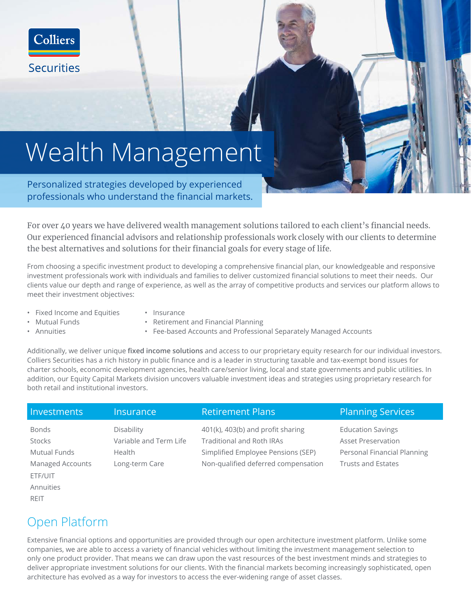

# Wealth Management

Personalized strategies developed by experienced professionals who understand the financial markets.

For over 40 years we have delivered wealth management solutions tailored to each client's financial needs. Our experienced financial advisors and relationship professionals work closely with our clients to determine the best alternatives and solutions for their financial goals for every stage of life.

From choosing a specific investment product to developing a comprehensive financial plan, our knowledgeable and responsive investment professionals work with individuals and families to deliver customized financial solutions to meet their needs. Our clients value our depth and range of experience, as well as the array of competitive products and services our platform allows to meet their investment objectives:

- Fixed Income and Equities
- Insurance
- Retirement and Financial Planning

• Annuities

• Mutual Funds

• Fee-based Accounts and Professional Separately Managed Accounts

Additionally, we deliver unique **fixed income solutions** and access to our proprietary equity research for our individual investors. Colliers Securities has a rich history in public finance and is a leader in structuring taxable and tax-exempt bond issues for charter schools, economic development agencies, health care/senior living, local and state governments and public utilities. In addition, our Equity Capital Markets division uncovers valuable investment ideas and strategies using proprietary research for both retail and institutional investors.

| Investments         | <b>Insurance</b>       | <b>Retirement Plans</b>             | <b>Planning Services</b>    |
|---------------------|------------------------|-------------------------------------|-----------------------------|
| <b>Bonds</b>        | Disability             | 401(k), 403(b) and profit sharing   | <b>Education Savings</b>    |
| <b>Stocks</b>       | Variable and Term Life | Traditional and Roth IRAs           | <b>Asset Preservation</b>   |
| <b>Mutual Funds</b> | Health                 | Simplified Employee Pensions (SEP)  | Personal Financial Planning |
| Managed Accounts    | Long-term Care         | Non-qualified deferred compensation | <b>Trusts and Estates</b>   |
| ETF/UIT             |                        |                                     |                             |
| Annuities           |                        |                                     |                             |

#### Open Platform

REIT

Extensive financial options and opportunities are provided through our open architecture investment platform. Unlike some companies, we are able to access a variety of financial vehicles without limiting the investment management selection to only one product provider. That means we can draw upon the vast resources of the best investment minds and strategies to deliver appropriate investment solutions for our clients. With the financial markets becoming increasingly sophisticated, open architecture has evolved as a way for investors to access the ever-widening range of asset classes.